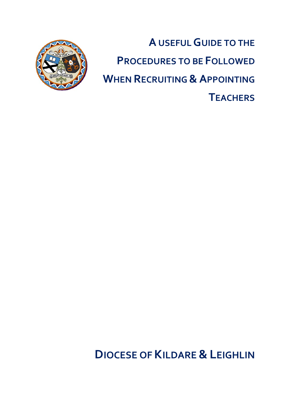

**A USEFUL GUIDE TO THE PROCEDURES TO BE FOLLOWED WHEN RECRUITING & APPOINTING TEACHERS**

# **DIOCESE OF KILDARE & LEIGHLIN**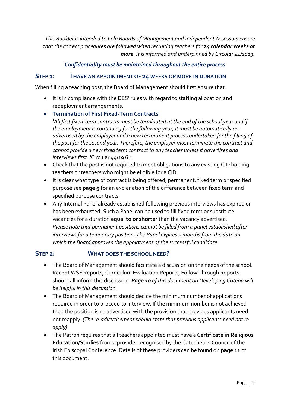*This Booklet is intended to help Boards of Management and Independent Assessors ensure that the correct procedures are followed when recruiting teachers for 24 calendar weeks or more. It is informed and underpinned by Circular 44/2019.* 

### *Confidentiality must be maintained throughout the entire process*

### **STEP 1: I HAVE AN APPOINTMENT OF 24 WEEKS OR MORE IN DURATION**

When filling a teaching post, the Board of Management should first ensure that:

- It is in compliance with the DES' rules with regard to staffing allocation and redeployment arrangements.
- **Termination of First Fixed-Term Contracts**

*'All first fixed-term contracts must be terminated at the end of the school year and if the employment is continuing for the following year, it must be automatically readvertised by the employer and a new recruitment process undertaken for the filling of the post for the second year. Therefore, the employer must terminate the contract and cannot provide a new fixed term contract to any teacher unless it advertises and interviews first. '*Circular 44/19 6.1

- Check that the post is not required to meet obligations to any existing CID holding teachers or teachers who might be eligible for a CID.
- It is clear what type of contract is being offered; permanent, fixed term or specified purpose see **page 9** for an explanation of the difference between fixed term and specified purpose contracts
- Any Internal Panel already established following previous interviews has expired or has been exhausted. Such a Panel can be used to fill fixed term or substitute vacancies for a duration **equal to or shorter** than the vacancy advertised. *Please note that permanent positions cannot be filled from a panel established after interviews for a temporary position. The Panel expires 4 months from the date on which the Board approves the appointment of the successful candidate.*

### **STEP 2: WHAT DOES THE SCHOOL NEED?**

- The Board of Management should facilitate a discussion on the needs of the school. Recent WSE Reports, Curriculum Evaluation Reports, Follow Through Reports should all inform this discussion. *Page 10 of this document on Developing Criteria will be helpful in this discussion.*
- The Board of Management should decide the minimum number of applications required in order to proceed to interview. If the minimum number is not achieved then the position is re-advertised with the provision that previous applicants need not reapply. *(The re-advertisement should state that previous applicants need not re apply)*
- The Patron requires that all teachers appointed must have a **Certificate in Religious Education/Studies** from a provider recognised by the Catechetics Council of the Irish Episcopal Conference. Details of these providers can be found on **page 11** of this document.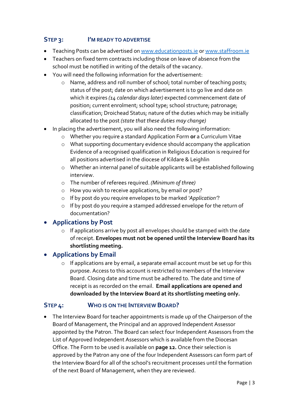### **STEP 3: I'M READY TO ADVERTISE**

- Teaching Posts can be advertised on [www.educationposts.ie](http://www.educationposts.ie/) or www.staffroom.ie
- Teachers on fixed term contracts including those on leave of absence from the school must be notified in writing of the details of the vacancy.
- You will need the following information for the advertisement:
	- o Name, address and roll number of school; total number of teaching posts; status of the post; date on which advertisement is to go live and date on which it expires *(14 calendar days later)* expected commencement date of position; current enrolment; school type; school structure; patronage; classification; Droichead Status; nature of the duties which may be initially allocated to the post *(state that these duties may change)*
- In placing the advertisement, you will also need the following information:
	- o Whether you require a standard Application Form **or** a Curriculum Vitae
	- o What supporting documentary evidence should accompany the application Evidence of a recognised qualification in Religious Education is required for all positions advertised in the diocese of Kildare & Leighlin
	- o Whether an internal panel of suitable applicants will be established following interview.
	- o The number of referees required. *(Minimum of three)*
	- o How you wish to receive applications, by email or post?
	- o If by post do you require envelopes to be marked *'Application'*?
	- o If by post do you require a stamped addressed envelope for the return of documentation?

### • **Applications by Post**

o If applications arrive by post all envelopes should be stamped with the date of receipt. **Envelopes must not be opened until the Interview Board has its shortlisting meeting.**

### • **Applications by Email**

o If applications are by email, a separate email account must be set up for this purpose. Access to this account is restricted to members of the Interview Board. Closing date and time must be adhered to. The date and time of receipt is as recorded on the email. **Email applications are opened and downloaded by the Interview Board at its shortlisting meeting only.** 

### **STEP 4: WHO IS ON THE INTERVIEW BOARD?**

• The Interview Board for teacher appointments is made up of the Chairperson of the Board of Management, the Principal and an approved Independent Assessor appointed by the Patron. The Board can select four Independent Assessors from the List of Approved Independent Assessors which is available from the Diocesan Office. The Form to be used is available on **page 12.** Once their selection is approved by the Patron any one of the four Independent Assessors can form part of the Interview Board for all of the school's recruitment processes until the formation of the next Board of Management, when they are reviewed.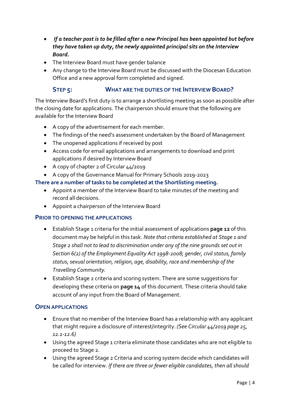- *If a teacher post is to be filled after a new Principal has been appointed but before they have taken up duty, the newly appointed principal sits on the Interview Board.*
- The Interview Board must have gender balance
- Any change to the Interview Board must be discussed with the Diocesan Education Office and a new approval form completed and signed.

### **STEP 5: WHAT ARE THE DUTIES OF THE INTERVIEW BOARD?**

The Interview Board's first duty is to arrange a shortlisting meeting as soon as possible after the closing date for applications. The chairperson should ensure that the following are available for the Interview Board

- A copy of the advertisement for each member.
- The findings of the need's assessment undertaken by the Board of Management
- The unopened applications if received by post
- Access code for email applications and arrangements to download and print applications if desired by Interview Board
- A copy of chapter 2 of Circular 44/2019
- A copy of the Governance Manual for Primary Schools 2019-2023

### **There are a number of tasks to be completed at the Shortlisting meeting.**

- Appoint a member of the Interview Board to take minutes of the meeting and record all decisions.
- Appoint a chairperson of the Interview Board

### **PRIOR TO OPENING THE APPLICATIONS**

- Establish Stage 1 criteria for the initial assessment of applications **page 12** of this document may be helpful in this task. *Note that criteria established at Stage 1 and Stage 2 shall not to lead to discrimination under any of the nine grounds set out in Section 6(2) of the Employment Equality Act 1998-2008; gender, civil status, family status, sexual orientation, religion, age, disability, race and membership of the Travelling Community.*
- Establish Stage 2 criteria and scoring system. There are some suggestions for developing these criteria on **page 14** of this document*.* These criteria should take account of any input from the Board of Management.

### **OPEN APPLICATIONS**

- Ensure that no member of the Interview Board has a relationship with any applicant that might require a disclosure of interest/integrity. *(See Circular 44/2019 page 25, 12.1-12.6)*
- Using the agreed Stage 1 criteria eliminate those candidates who are not eligible to proceed to Stage 2.
- Using the agreed Stage 2 Criteria and scoring system decide which candidates will be called for interview. *If there are three or fewer eligible candidates, then all should*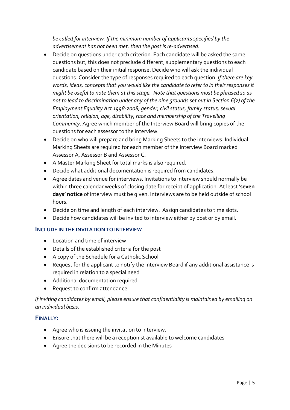*be called for interview. If the minimum number of applicants specified by the advertisement has not been met, then the post is re-advertised.*

- Decide on questions under each criterion. Each candidate will be asked the same questions but, this does not preclude different, supplementary questions to each candidate based on their initial response. Decide who will ask the individual questions. Consider the type of responses required to each question. *If there are key words, ideas, concepts that you would like the candidate to refer to in their responses it might be useful to note them at this stage. Note that questions must be phrased so as not to lead to discrimination under any of the nine grounds set out in Section 6(2) of the Employment Equality Act 1998-2008; gender, civil status, family status, sexual orientation, religion, age, disability, race and membership of the Travelling Community*. Agree which member of the Interview Board will bring copies of the questions for each assessor to the interview.
- Decide on who will prepare and bring Marking Sheets to the interviews. Individual Marking Sheets are required for each member of the Interview Board marked Assessor A, Assessor B and Assessor C.
- A Master Marking Sheet for total marks is also required.
- Decide what additional documentation is required from candidates.
- Agree dates and venue for interviews. Invitations to interview should normally be within three calendar weeks of closing date for receipt of application. At least '**seven days' notice** of interview must be given. Interviews are to be held outside of school hours.
- Decide on time and length of each interview. Assign candidates to time slots.
- Decide how candidates will be invited to interview either by post or by email.

### **INCLUDE IN THE INVITATION TO INTERVIEW**

- Location and time of interview
- Details of the established criteria for the post
- A copy of the Schedule for a Catholic School
- Request for the applicant to notify the Interview Board if any additional assistance is required in relation to a special need
- Additional documentation required
- Request to confirm attendance

*If inviting candidates by email, please ensure that confidentiality is maintained by emailing on an individual basis.* 

### **FINALLY:**

- Agree who is issuing the invitation to interview.
- Ensure that there will be a receptionist available to welcome candidates
- Agree the decisions to be recorded in the Minutes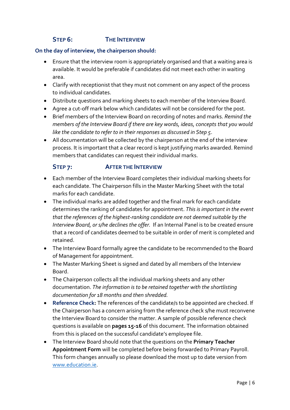### **STEP 6: THE INTERVIEW**

#### **On the day of interview, the chairperson should:**

- Ensure that the interview room is appropriately organised and that a waiting area is available. It would be preferable if candidates did not meet each other in waiting area.
- Clarify with receptionist that they must not comment on any aspect of the process to individual candidates.
- Distribute questions and marking sheets to each member of the Interview Board.
- Agree a cut-off mark below which candidates will not be considered for the post.
- Brief members of the Interview Board on recording of notes and marks. *Remind the members of the Interview Board if there are key words, ideas, concepts that you would like the candidate to refer to in their responses as discussed in Step 5*.
- All documentation will be collected by the chairperson at the end of the interview process. It is important that a clear record is kept justifying marks awarded. Remind members that candidates can request their individual marks.

### **STEP 7: AFTER THE INTERVIEW**

- Each member of the Interview Board completes their individual marking sheets for each candidate. The Chairperson fills in the Master Marking Sheet with the total marks for each candidate.
- The individual marks are added together and the final mark for each candidate determines the ranking of candidates for appointment. *This is important in the event that the references of the highest-ranking candidate are not deemed suitable by the Interview Board, or s/he declines the offer.* If an Internal Panel is to be created ensure that a record of candidates deemed to be suitable in order of merit is completed and retained.
- The Interview Board formally agree the candidate to be recommended to the Board of Management for appointment.
- The Master Marking Sheet is signed and dated by all members of the Interview Board.
- The Chairperson collects all the individual marking sheets and any other documentation. *The information is to be retained together with the shortlisting documentation for 18 months and then shredded.*
- **Reference Check:** The references of the candidate/s to be appointed are checked. If the Chairperson has a concern arising from the reference check s/he must reconvene the Interview Board to consider the matter. A sample of possible reference check questions is available on **pages 15-16** of this document. The information obtained from this is placed on the successful candidate's employee file.
- The Interview Board should note that the questions on the **Primary Teacher Appointment Form** will be completed before being forwarded to Primary Payroll. This form changes annually so please download the most up to date version from [www.education.ie.](http://www.education.ie/)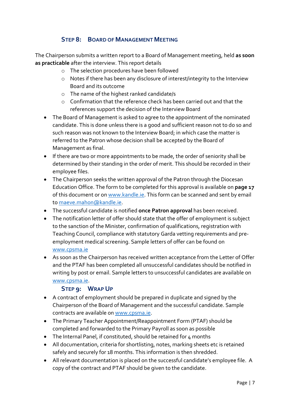### **STEP 8: BOARD OF MANAGEMENT MEETING**

The Chairperson submits a written report to a Board of Management meeting, held **as soon as practicable** after the interview. This report details

- o The selection procedures have been followed
- o Notes if there has been any disclosure of interest/integrity to the Interview Board and its outcome
- o The name of the highest ranked candidate/s
- o Confirmation that the reference check has been carried out and that the references support the decision of the Interview Board
- The Board of Management is asked to agree to the appointment of the nominated candidate. This is done unless there is a good and sufficient reason not to do so and such reason was not known to the Interview Board; in which case the matter is referred to the Patron whose decision shall be accepted by the Board of Management as final.
- If there are two or more appointments to be made, the order of seniority shall be determined by their standing in the order of merit. This should be recorded in their employee files.
- The Chairperson seeks the written approval of the Patron through the Diocesan Education Office. The form to be completed for this approval is available on **page 17**  of this document or on [www.kandle.ie.](http://www.kandle.ie/) This form can be scanned and sent by email to [maeve.mahon@kandle.ie.](mailto:maeve.mahon@kandle.ie)
- The successful candidate is notified **once Patron approval** has been received.
- The notification letter of offer should state that the offer of employment is subject to the sanction of the Minister, confirmation of qualifications, registration with Teaching Council, compliance with statutory Garda vetting requirements and preemployment medical screening. Sample letters of offer can be found on [www.cpsma.ie](http://www.cpsma.ie/)
- As soon as the Chairperson has received written acceptance from the Letter of Offer and the PTAF has been completed all unsuccessful candidates should be notified in writing by post or email. Sample letters to unsuccessful candidates are available on [www.cpsma.ie.](http://www.cpsma.ie/)

### **STEP 9: WRAP UP**

- A contract of employment should be prepared in duplicate and signed by the Chairperson of the Board of Management and the successful candidate. Sample contracts are available o[n www.cpsma.ie.](http://www.cpsma.ie/)
- The Primary Teacher Appointment/Reappointment Form (PTAF) should be completed and forwarded to the Primary Payroll as soon as possible
- The Internal Panel, if constituted, should be retained for 4 months
- All documentation, criteria for shortlisting, notes, marking sheets etc is retained safely and securely for 18 months. This information is then shredded.
- All relevant documentation is placed on the successful candidate's employee file. A copy of the contract and PTAF should be given to the candidate.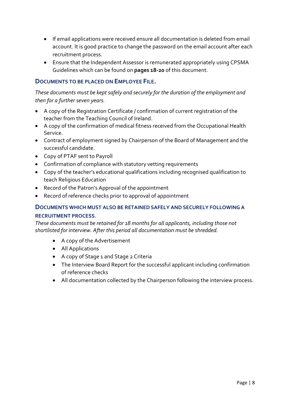- If email applications were received ensure all documentation is deleted from email account. It is good practice to change the password on the email account after each recruitment process.
- Ensure that the Independent Assessor is remunerated appropriately using CPSMA Guidelines which can be found on **pages 18-20** of this document.

### **DOCUMENTS TO BE PLACED ON EMPLOYEE FILE.**

### *These documents must be kept safely and securely for the duration of the employment and then for a further seven years.*

- A copy of the Registration Certificate / confirmation of current registration of the teacher from the Teaching Council of Ireland.
- A copy of the confirmation of medical fitness received from the Occupational Health Service.
- Contract of employment signed by Chairperson of the Board of Management and the successful candidate.
- Copy of PTAF sent to Payroll
- Confirmation of compliance with statutory vetting requirements
- Copy of the teacher's educational qualifications including recognised qualification to teach Religious Education
- Record of the Patron's Approval of the appointment
- Record of reference checks prior to approval of appointment

### **DOCUMENTS WHICH MUST ALSO BE RETAINED SAFELY AND SECURELY FOLLOWING A RECRUITMENT PROCESS**.

*These documents must be retained for 18 months for all applicants, including those not shortlisted for interview. After this period all documentation must be shredded.* 

- A copy of the Advertisement
- All Applications
- A copy of Stage 1 and Stage 2 Criteria
- The Interview Board Report for the successful applicant including confirmation of reference checks
- All documentation collected by the Chairperson following the interview process.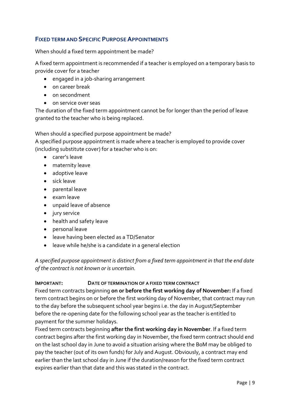### **FIXED TERM AND SPECIFIC PURPOSE APPOINTMENTS**

When should a fixed term appointment be made?

A fixed term appointment is recommended if a teacher is employed on a temporary basis to provide cover for a teacher

- engaged in a job-sharing arrangement
- on career break
- on secondment
- on service over seas

The duration of the fixed term appointment cannot be for longer than the period of leave granted to the teacher who is being replaced.

When should a specified purpose appointment be made?

A specified purpose appointment is made where a teacher is employed to provide cover (including substitute cover) for a teacher who is on:

- carer's leave
- maternity leave
- adoptive leave
- sick leave
- parental leave
- exam leave
- unpaid leave of absence
- jury service
- health and safety leave
- personal leave
- leave having been elected as a TD/Senator
- leave while he/she is a candidate in a general election

*A specified purpose appointment is distinct from a fixed term appointment in that the end date of the contract is not known or is uncertain.*

#### **IMPORTANT: DATE OF TERMINATION OF A FIXED TERM CONTRACT**

Fixed term contracts beginning **on or before the first working day of November:** If a fixed term contract begins on or before the first working day of November, that contract may run to the day before the subsequent school year begins i.e. the day in August/September before the re-opening date for the following school year as the teacher is entitled to payment for the summer holidays.

Fixed term contracts beginning **after the first working day in November**. If a fixed term contract begins after the first working day in November, the fixed term contract should end on the last school day in June to avoid a situation arising where the BoM may be obliged to pay the teacher (out of its own funds) for July and August. Obviously, a contract may end earlier than the last school day in June if the duration/reason for the fixed term contract expires earlier than that date and this was stated in the contract.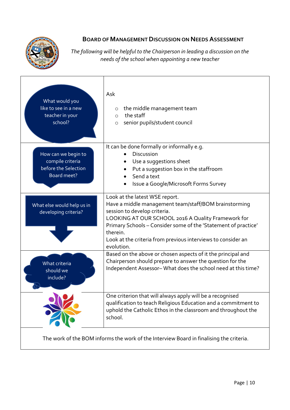

### **BOARD OF MANAGEMENT DISCUSSION ON NEEDS ASSESSMENT**

*The following will be helpful to the Chairperson in leading a discussion on the needs of the school when appointing a new teacher*

| What would you<br>like to see in a new<br>teacher in your<br>school?           | Ask<br>the middle management team<br>$\circ$<br>the staff<br>$\circ$<br>senior pupils/student council<br>$\circ$                                                                                                                                                                                                                          |
|--------------------------------------------------------------------------------|-------------------------------------------------------------------------------------------------------------------------------------------------------------------------------------------------------------------------------------------------------------------------------------------------------------------------------------------|
| How can we begin to<br>compile criteria<br>before the Selection<br>Board meet? | It can be done formally or informally e.g.<br>Discussion<br>Use a suggestions sheet<br>$\bullet$<br>Put a suggestion box in the staffroom<br>Send a text<br>Issue a Google/Microsoft Forms Survey                                                                                                                                         |
| What else would help us in<br>developing criteria?                             | Look at the latest WSE report.<br>Have a middle management team/staff/BOM brainstorming<br>session to develop criteria.<br>LOOKING AT OUR SCHOOL 2016 A Quality Framework for<br>Primary Schools - Consider some of the 'Statement of practice'<br>therein.<br>Look at the criteria from previous interviews to consider an<br>evolution. |
| What criteria<br>should we<br>include?                                         | Based on the above or chosen aspects of it the principal and<br>Chairperson should prepare to answer the question for the<br>Independent Assessor-What does the school need at this time?                                                                                                                                                 |
|                                                                                | One criterion that will always apply will be a recognised<br>qualification to teach Religious Education and a commitment to<br>uphold the Catholic Ethos in the classroom and throughout the<br>school.                                                                                                                                   |
|                                                                                | The work of the BOM informs the work of the Interview Board in finalising the criteria.                                                                                                                                                                                                                                                   |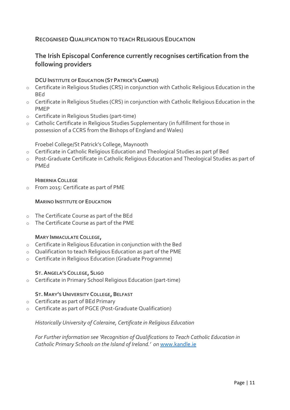### **RECOGNISED QUALIFICATION TO TEACH RELIGIOUS EDUCATION**

### **The Irish Episcopal Conference currently recognises certification from the following providers**

#### **DCU INSTITUTE OF EDUCATION (ST PATRICK'S CAMPUS)**

- o Certificate in Religious Studies (CRS) in conjunction with Catholic Religious Education in the BEd
- o Certificate in Religious Studies (CRS) in conjunction with Catholic Religious Education in the PMEP
- o Certificate in Religious Studies (part-time)
- o Catholic Certificate in Religious Studies Supplementary (in fulfillment for those in possession of a CCRS from the Bishops of England and Wales)

Froebel College/St Patrick's College, Maynooth

- o Certificate in Catholic Religious Education and Theological Studies as part pf Bed
- o Post-Graduate Certificate in Catholic Religious Education and Theological Studies as part of PMEd

#### **HIBERNIA COLLEGE**

o From 2015: Certificate as part of PME

#### **MARINO INSTITUTE OF EDUCATION**

- o The Certificate Course as part of the BEd
- o The Certificate Course as part of the PME

#### **MARY IMMACULATE COLLEGE,**

- o Certificate in Religious Education in conjunction with the Bed
- o Qualification to teach Religious Education as part of the PME
- o Certificate in Religious Education (Graduate Programme)

#### **ST.ANGELA'S COLLEGE, SLIGO**

o Certificate in Primary School Religious Education (part-time)

#### **ST. MARY'S UNIVERSITY COLLEGE, BELFAST**

- o Certificate as part of BEd Primary
- o Certificate as part of PGCE (Post-Graduate Qualification)

#### *Historically University of Coleraine, Certificate in Religious Education*

*For Further information see 'Recognition of Qualifications to Teach Catholic Education in Catholic Primary Schools on the Island of Ireland.' on* [www.kandle.ie](http://www.kandle.ie/)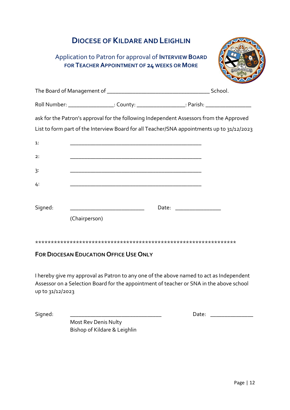## **DIOCESE OF KILDARE ANDLEIGHLIN**

### Application to Patron for approval of **INTERVIEW BOARD FOR TEACHER APPOINTMENT OF 24 WEEKS OR MORE**



|         |               | Roll Number: ___________________: County: ____________________: Parish: ____________________________                                                                                  |
|---------|---------------|---------------------------------------------------------------------------------------------------------------------------------------------------------------------------------------|
|         |               | ask for the Patron's approval for the following Independent Assessors from the Approved<br>List to form part of the Interview Board for all Teacher/SNA appointments up to 31/12/2023 |
| 1:      |               |                                                                                                                                                                                       |
| 2:      |               |                                                                                                                                                                                       |
| 3:      |               |                                                                                                                                                                                       |
| 4:      |               |                                                                                                                                                                                       |
| Signed: |               | Date: __________________                                                                                                                                                              |
|         | (Chairperson) |                                                                                                                                                                                       |
|         |               |                                                                                                                                                                                       |

### **FOR DIOCESAN EDUCATION OFFICE USE ONLY**

I hereby give my approval as Patron to any one of the above named to act as Independent Assessor on a Selection Board for the appointment of teacher or SNA in the above school up to 31/12/2023

Signed: \_\_\_\_\_\_\_\_\_\_\_\_\_\_\_\_\_\_\_\_\_\_\_\_\_\_\_\_\_\_\_\_ Date: \_\_\_\_\_\_\_\_\_\_\_\_\_\_\_

Most Rev Denis Nulty Bishop of Kildare & Leighlin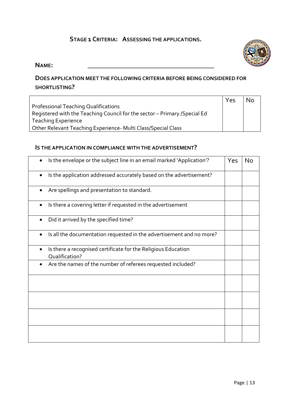### **STAGE 1 CRITERIA: ASSESSING THE APPLICATIONS.**

### **NAME: \_\_\_\_\_\_\_\_\_\_\_\_\_\_\_\_\_\_\_\_\_\_\_\_\_\_\_\_\_\_\_\_\_\_\_\_\_\_**

### **DOES APPLICATION MEET THE FOLLOWING CRITERIA BEFORE BEING CONSIDERED FOR SHORTLISTING?**

|                                                                            | Yes | <b>No</b> |
|----------------------------------------------------------------------------|-----|-----------|
| Professional Teaching Qualifications                                       |     |           |
| Registered with the Teaching Council for the sector - Primary / Special Ed |     |           |
| <b>Teaching Experience</b>                                                 |     |           |
| Other Relevant Teaching Experience- Multi Class/Special Class              |     |           |

#### **IS THE APPLICATION IN COMPLIANCE WITH THE ADVERTISEMENT?**

| Is the envelope or the subject line in an email marked 'Application'?           | Yes | No |
|---------------------------------------------------------------------------------|-----|----|
| Is the application addressed accurately based on the advertisement?             |     |    |
| Are spellings and presentation to standard.                                     |     |    |
| Is there a covering letter if requested in the advertisement<br>$\bullet$       |     |    |
| Did it arrived by the specified time?                                           |     |    |
| Is all the documentation requested in the advertisement and no more?            |     |    |
| Is there a recognised certificate for the Religious Education<br>Qualification? |     |    |
| Are the names of the number of referees requested included?                     |     |    |
|                                                                                 |     |    |
|                                                                                 |     |    |
|                                                                                 |     |    |
|                                                                                 |     |    |

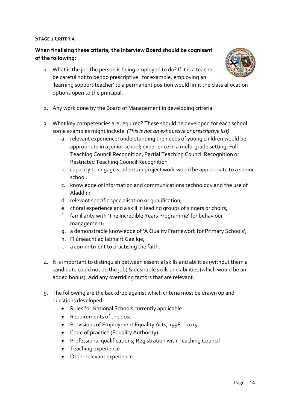#### **STAGE 2 CRITERIA**

### **When finalising these criteria, the Interview Board should be cognisant of the following:**

- 1. What is the job the person is being employed to do? If it is a teacher be careful not to be too prescriptive: for example, employing an 'learning support teacher' to a permanent position would limit the class allocation options open to the principal.
- 2. Any work done by the Board of Management in developing criteria
- 3. What key competencies are required? These should be developed for each school some examples might include: *(This is not an exhaustive or prescriptive list)* 
	- a. relevant experience: understanding the needs of young children would be appropriate in a junior school; experience in a multi-grade setting; Full Teaching Council Recognition, Partial Teaching Council Recognition or Restricted Teaching Council Recognition
	- b. capacity to engage students in project work would be appropriate to a senior school;
	- c. knowledge of information and communications technology and the use of Aladdin;
	- d. relevant specific specialisation or qualification;
	- e. choral experience and a skill in leading groups of singers or choirs;
	- f. familiarity with 'The Incredible Years Programme' for behaviour management;
	- g. a demonstrable knowledge of 'A Quality Framework for Primary Schools';
	- h. Fliúrseacht ag labhairt Gaeilge;
	- i. a commitment to practising the faith.
- 4. It is important to distinguish between essential skills and abilities (without them a candidate could not do the job) & desirable skills and abilities (which would be an added bonus). Add any overriding factors that are relevant.
- 5. The following are the backdrop against which criteria must be drawn up and questions developed:
	- Rules for National Schools currently applicable
	- Requirements of the post
	- Provisions of Employment Equality Acts, 1998 2015
	- Code of practice (Equality Authority)
	- Professional qualifications; Registration with Teaching Council
	- Teaching experience
	- Other relevant experience

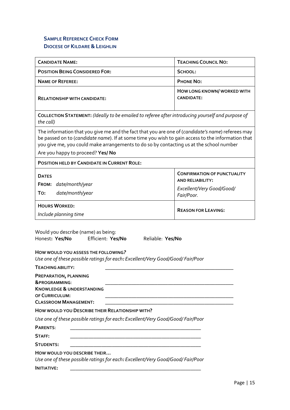### **SAMPLE REFERENCE CHECK FORM DIOCESE OF KILDARE &LEIGHLIN**

| <b>CANDIDATE NAME:</b>                                                                                                                                                                                                                                                                                                                 | <b>TEACHING COUNCIL NO:</b>                                                                              |  |  |  |  |
|----------------------------------------------------------------------------------------------------------------------------------------------------------------------------------------------------------------------------------------------------------------------------------------------------------------------------------------|----------------------------------------------------------------------------------------------------------|--|--|--|--|
| <b>POSITION BEING CONSIDERED FOR:</b>                                                                                                                                                                                                                                                                                                  | SCHOOL:                                                                                                  |  |  |  |  |
| <b>NAME OF REFEREE:</b>                                                                                                                                                                                                                                                                                                                | <b>PHONE NO:</b>                                                                                         |  |  |  |  |
| <b>RELATIONSHIP WITH CANDIDATE:</b>                                                                                                                                                                                                                                                                                                    | HOW LONG KNOWN/WORKED WITH<br><b>CANDIDATE:</b>                                                          |  |  |  |  |
| COLLECTION STATEMENT: (Ideally to be emailed to referee after introducing yourself and purpose of<br>the call)                                                                                                                                                                                                                         |                                                                                                          |  |  |  |  |
| The information that you give me and the fact that you are one of (candidate's name) referees may<br>be passed on to (candidate name). If at some time you wish to gain access to the information that<br>you give me, you could make arrangements to do so by contacting us at the school number<br>Are you happy to proceed? Yes/ No |                                                                                                          |  |  |  |  |
| POSITION HELD BY CANDIDATE IN CURRENT ROLE:                                                                                                                                                                                                                                                                                            |                                                                                                          |  |  |  |  |
| <b>DATES</b><br>FROM: date/month/year<br>date/month/year<br>To:                                                                                                                                                                                                                                                                        | <b>CONFIRMATION OF PUNCTUALITY</b><br><b>AND RELIABILITY:</b><br>Excellent/Very Good/Good/<br>Fair/Poor. |  |  |  |  |
| <b>HOURS WORKED:</b><br>Include planning time                                                                                                                                                                                                                                                                                          | <b>REASON FOR LEAVING:</b>                                                                               |  |  |  |  |

Would you describe (name) as being: Honest**: Yes/No** Efficient: **Yes/N0** Reliable: **Yes/No** 

| TEACHING ABILITY:                                                                                                                           |                                                                                 |
|---------------------------------------------------------------------------------------------------------------------------------------------|---------------------------------------------------------------------------------|
| PREPARATION, PLANNING<br><b>&amp;PROGRAMMING:</b><br><b>KNOWLEDGE &amp; UNDERSTANDING</b><br>OF CURRICULUM:<br><b>CLASSROOM MANAGEMENT:</b> |                                                                                 |
|                                                                                                                                             | HOW WOULD YOU DESCRIBE THEIR RELATIONSHIP WITH?                                 |
|                                                                                                                                             | Use one of these possible ratings for each: Excellent/Very Good/Good/ Fair/Poor |
| PARENTS:                                                                                                                                    |                                                                                 |
| STAFF:                                                                                                                                      |                                                                                 |
| <b>STUDENTS:</b>                                                                                                                            |                                                                                 |
| HOW WOULD YOU DESCRIBE THEIR                                                                                                                | Use one of these possible ratings for each: Excellent/Very Good/Good/ Fair/Poor |
| <b>INITIATIVE:</b>                                                                                                                          |                                                                                 |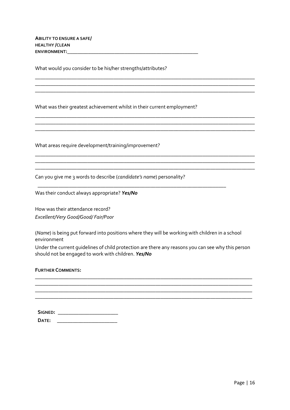**ABILITY TO ENSURE A SAFE/ HEALTHY /CLEAN ENVIRONMENT:\_\_\_\_\_\_\_\_\_\_\_\_\_\_\_\_\_\_\_\_\_\_\_\_\_\_\_\_\_\_\_\_\_\_\_\_\_\_\_\_\_\_\_\_\_\_\_\_\_\_**

What would you consider to be his/her strengths/attributes?

What was their greatest achievement whilst in their current employment?

\_\_\_\_\_\_\_\_\_\_\_\_\_\_\_\_\_\_\_\_\_\_\_\_\_\_\_\_\_\_\_\_\_\_\_\_\_\_\_\_\_\_\_\_\_\_\_\_\_\_\_\_\_\_\_\_\_\_\_\_\_\_\_\_\_\_\_\_\_\_\_\_\_\_\_\_\_\_\_\_\_\_\_\_

\_\_\_\_\_\_\_\_\_\_\_\_\_\_\_\_\_\_\_\_\_\_\_\_\_\_\_\_\_\_\_\_\_\_\_\_\_\_\_\_\_\_\_\_\_\_\_\_\_\_\_\_\_\_\_\_\_\_\_\_\_\_\_\_\_\_\_\_\_\_\_\_\_\_\_\_\_\_\_\_\_\_\_\_

\_\_\_\_\_\_\_\_\_\_\_\_\_\_\_\_\_\_\_\_\_\_\_\_\_\_\_\_\_\_\_\_\_\_\_\_\_\_\_\_\_\_\_\_\_\_\_\_\_\_\_\_\_\_\_\_\_\_\_\_\_\_\_\_\_\_\_\_\_\_\_\_\_\_\_\_\_\_\_\_\_\_\_\_

\_\_\_\_\_\_\_\_\_\_\_\_\_\_\_\_\_\_\_\_\_\_\_\_\_\_\_\_\_\_\_\_\_\_\_\_\_\_\_\_\_\_\_\_\_\_\_\_\_\_\_\_\_\_\_\_\_\_\_\_\_\_\_\_\_\_\_\_\_\_\_\_\_\_\_\_\_\_\_\_\_\_\_\_ \_\_\_\_\_\_\_\_\_\_\_\_\_\_\_\_\_\_\_\_\_\_\_\_\_\_\_\_\_\_\_\_\_\_\_\_\_\_\_\_\_\_\_\_\_\_\_\_\_\_\_\_\_\_\_\_\_\_\_\_\_\_\_\_\_\_\_\_\_\_\_\_\_\_\_\_\_\_\_\_\_\_\_\_

\_\_\_\_\_\_\_\_\_\_\_\_\_\_\_\_\_\_\_\_\_\_\_\_\_\_\_\_\_\_\_\_\_\_\_\_\_\_\_\_\_\_\_\_\_\_\_\_\_\_\_\_\_\_\_\_\_\_\_\_\_\_\_\_\_\_\_\_\_\_\_\_\_\_\_\_\_\_\_\_\_\_\_\_

\_\_\_\_\_\_\_\_\_\_\_\_\_\_\_\_\_\_\_\_\_\_\_\_\_\_\_\_\_\_\_\_\_\_\_\_\_\_\_\_\_\_\_\_\_\_\_\_\_\_\_\_\_\_\_\_\_\_\_\_\_\_\_\_\_\_\_\_\_\_\_\_

What areas require development/training/improvement?

Can you give me 3 words to describe (*candidate's name*) personality?

Was their conduct always appropriate? *Yes/No*

How was their attendance record? *Excellent/Very Good/Good/ Fair/Poor*

(*Name*) is being put forward into positions where they will be working with children in a school environment

Under the current guidelines of child protection are there any reasons you can see why this person should not be engaged to work with children. *Yes/No* 

**\_\_\_\_\_\_\_\_\_\_\_\_\_\_\_\_\_\_\_\_\_\_\_\_\_\_\_\_\_\_\_\_\_\_\_\_\_\_\_\_\_\_\_\_\_\_\_\_\_\_\_\_\_\_\_\_\_\_\_\_\_\_\_\_\_\_\_\_\_\_\_\_\_\_\_\_\_\_\_\_\_\_\_ \_\_\_\_\_\_\_\_\_\_\_\_\_\_\_\_\_\_\_\_\_\_\_\_\_\_\_\_\_\_\_\_\_\_\_\_\_\_\_\_\_\_\_\_\_\_\_\_\_\_\_\_\_\_\_\_\_\_\_\_\_\_\_\_\_\_\_\_\_\_\_\_\_\_\_\_\_\_\_\_\_\_\_ \_\_\_\_\_\_\_\_\_\_\_\_\_\_\_\_\_\_\_\_\_\_\_\_\_\_\_\_\_\_\_\_\_\_\_\_\_\_\_\_\_\_\_\_\_\_\_\_\_\_\_\_\_\_\_\_\_\_\_\_\_\_\_\_\_\_\_\_\_\_\_\_\_\_\_\_\_\_\_\_\_\_\_ \_\_\_\_\_\_\_\_\_\_\_\_\_\_\_\_\_\_\_\_\_\_\_\_\_\_\_\_\_\_\_\_\_\_\_\_\_\_\_\_\_\_\_\_\_\_\_\_\_\_\_\_\_\_\_\_\_\_\_\_\_\_\_\_\_\_\_\_\_\_\_\_\_\_\_\_\_\_\_\_\_\_\_**

#### **FURTHER COMMENTS:**

| SIGNED: |  |
|---------|--|
| DATF:   |  |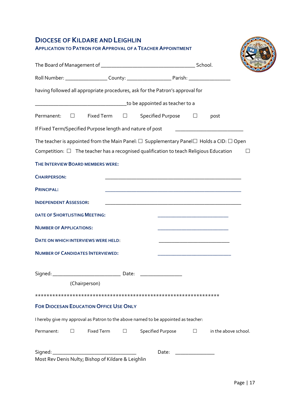### **DIOCESE OF KILDARE ANDLEIGHLIN**

|                                      |        |                                               | having followed all appropriate procedures, ask for the Patron's approval for                                                                                                                           |                                                                            |                                                                                                                      |              |
|--------------------------------------|--------|-----------------------------------------------|---------------------------------------------------------------------------------------------------------------------------------------------------------------------------------------------------------|----------------------------------------------------------------------------|----------------------------------------------------------------------------------------------------------------------|--------------|
|                                      |        |                                               |                                                                                                                                                                                                         |                                                                            |                                                                                                                      |              |
|                                      |        |                                               | Permanent: □ Fixed Term □ Specified Purpose □ post                                                                                                                                                      |                                                                            |                                                                                                                      |              |
|                                      |        |                                               |                                                                                                                                                                                                         |                                                                            |                                                                                                                      |              |
|                                      |        | THE INTERVIEW BOARD MEMBERS WERE:             | The teacher is appointed from the Main Panel: $\Box$ Supplementary Panel $\Box$ Holds a CID: $\Box$ Open<br>Competition: $\Box$ The teacher has a recognised qualification to teach Religious Education |                                                                            |                                                                                                                      | $\mathbf{L}$ |
| <b>CHAIRPERSON:</b>                  |        |                                               |                                                                                                                                                                                                         |                                                                            |                                                                                                                      |              |
| <b>PRINCIPAL:</b>                    |        |                                               |                                                                                                                                                                                                         |                                                                            |                                                                                                                      |              |
| <b>INDEPENDENT ASSESSOR:</b>         |        |                                               |                                                                                                                                                                                                         |                                                                            |                                                                                                                      |              |
| <b>DATE OF SHORTLISTING MEETING:</b> |        |                                               |                                                                                                                                                                                                         |                                                                            | <u> 1990 - Johann Barbara, martxa alemaniar amerikan basar dan basar dan basar dan basar dan basar dan basar dan</u> |              |
| <b>NUMBER OF APPLICATIONS:</b>       |        |                                               |                                                                                                                                                                                                         | the control of the control of the control of the control of the control of |                                                                                                                      |              |
|                                      |        | DATE ON WHICH INTERVIEWS WERE HELD:           |                                                                                                                                                                                                         |                                                                            |                                                                                                                      |              |
|                                      |        | <b>NUMBER OF CANDIDATES INTERVIEWED:</b>      |                                                                                                                                                                                                         |                                                                            |                                                                                                                      |              |
|                                      |        | (Chairperson)                                 |                                                                                                                                                                                                         |                                                                            |                                                                                                                      |              |
|                                      |        |                                               |                                                                                                                                                                                                         |                                                                            |                                                                                                                      |              |
|                                      |        | <b>FOR DIOCESAN EDUCATION OFFICE USE ONLY</b> |                                                                                                                                                                                                         |                                                                            |                                                                                                                      |              |
|                                      |        |                                               | I hereby give my approval as Patron to the above named to be appointed as teacher:                                                                                                                      |                                                                            |                                                                                                                      |              |
| Permanent:                           | $\Box$ | Fixed Term                                    | $\Box$ Specified Purpose                                                                                                                                                                                |                                                                            | $\square$ in the above school.                                                                                       |              |
|                                      |        |                                               | Date:                                                                                                                                                                                                   |                                                                            |                                                                                                                      |              |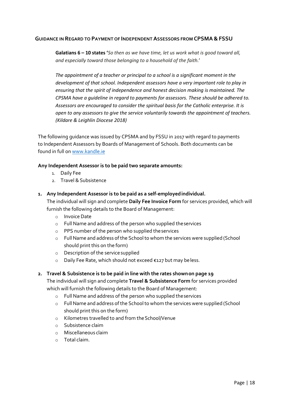#### **GUIDANCE IN REGARD TO PAYMENT OF INDEPENDENT ASSESSORS FROM CPSMA&FSSU**

**Galatians 6 – 10 states '***So then as we have time, let us work what is good toward all, and especially toward those belonging to a household of the faith.*'

*The appointment of a teacher or principal to a school is a significant moment in the development of that school. Independent assessors have a very important role to play in ensuring that the spirit of independence and honest decision making is maintained. The CPSMA have a guideline in regard to payments for assessors. These should be adhered to. Assessors are encouraged to consider the spiritual basis for the Catholic enterprise. It is open to any assessors to give the service voluntarily towards the appointment of teachers. (Kildare & Leighlin Diocese 2018)*

The following guidance was issued by CPSMA and by FSSU in 2017 with regard to payments to Independent Assessors by Boards of Management of Schools. Both documents can be found in full on [www.kandle.ie](http://www.kandle.ie/) 

#### **Any Independent Assessor is to be paid two separate amounts:**

- 1. Daily Fee
- 2. Travel & Subsistence
- **1. Any Independent Assessor is to be paid as a self-employedindividual.**

The individual will sign and complete **Daily Fee Invoice Form** for services provided, which will furnish the following details to the Board of Management:

- o Invoice Date
- o Full Name and address of the person who supplied theservices
- o PPS number of the person who supplied theservices
- o FullName and address of the Schoolto whom the services were supplied (School should print this on the form)
- o Description of the service supplied
- o Daily Fee Rate, which should not exceed €127 but may beless.

#### **2. Travel & Subsistence is to be paid in line with the rates shownon page 19**

The individual will sign and complete **Travel & Subsistence Form** for services provided which will furnish the following details to the Board of Management:

- o Full Name and address of the person who supplied theservices
- o FullName and address of the Schoolto whom the services were supplied (School should print this on the form)
- o Kilometres travelled to and from theSchool/Venue
- o Subsistence claim
- o Miscellaneous claim
- o Total claim.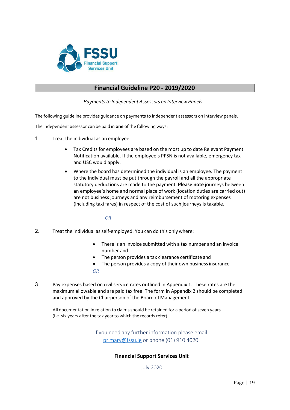

### **Financial Guideline P20 - 2019/2020**

*Payments to Independent Assessors on Interview Panels* 

The following guideline provides guidance on payments to independent assessors on interview panels.

The independent assessor can be paid in **one** ofthe following ways:

- 1. Treat the individual as an employee.
	- Tax Credits for employees are based on the most up to date Relevant Payment Notification available. If the employee's PPSN is not available, emergency tax and USC would apply.
	- Where the board has determined the individual is an employee. The payment to the individual must be put through the payroll and all the appropriate statutory deductions are made to the payment. **Please note** journeys between an employee's home and normal place of work (location duties are carried out) are not business journeys and any reimbursement of motoring expenses (including taxi fares) in respect of the cost of such journeys is taxable.

#### *OR*

- 2. Treat the individual as self-employed. You can do this only where:
	- There is an invoice submitted with a tax number and an invoice number and
	- The person provides a tax clearance certificate and
	- The person provides a copy of their own business insurance *OR*
- 3. Pay expenses based on civil service rates outlined in Appendix 1. These rates are the maximum allowable and are paid tax free. The form in Appendix 2 should be completed and approved by the Chairperson of the Board of Management.

All documentation in relation to claims should be retained for a period of seven years (i.e. six years after the tax year to which the records refer).

> If you need any further information please email [primary@fssu.ie](mailto:primary@fssu.ie) or phone (01) 910 4020

#### **Financial Support Services Unit**

July 2020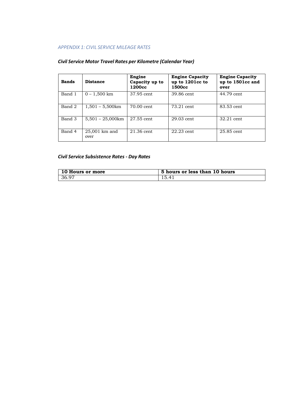#### *APPENDIX 1: CIVIL SERVICE MILEAGE RATES*

| <b>Bands</b> | <b>Distance</b>           | Engine<br>Capacity up to<br>1200cc | <b>Engine Capacity</b><br>up to 1201cc to<br>1500cc | <b>Engine Capacity</b><br>up to 1501cc and<br>over |
|--------------|---------------------------|------------------------------------|-----------------------------------------------------|----------------------------------------------------|
| Band 1       | $0 - 1,500$ km            | 37.95 cent                         | 39.86 cent                                          | 44.79 cent                                         |
| Band 2       | $1,501 - 5,500 \text{km}$ | 70.00 cent                         | 73.21 cent                                          | 83.53 cent                                         |
| Band 3       | $5,501 - 25,000$ km       | 27.55 cent                         | 29.03 cent                                          | 32.21 cent                                         |
| Band 4       | 25,001 km and<br>over     | $21.36$ cent                       | $22.23$ cent                                        | $25.85$ cent                                       |

#### *Civil Service Motor Travel Rates per Kilometre (Calendar Year)*

#### *Civil Service Subsistence Rates - Day Rates*

| 10 Hours or more | 5 hours or less than 10 hours |
|------------------|-------------------------------|
| 36.97            | 15.41                         |